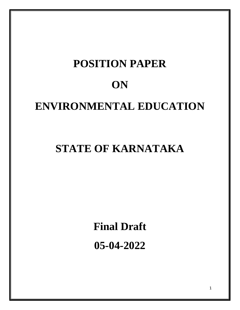# **POSITION PAPER ON ENVIRONMENTAL EDUCATION**

# **STATE OF KARNATAKA**

**Final Draft**

**05-04-2022**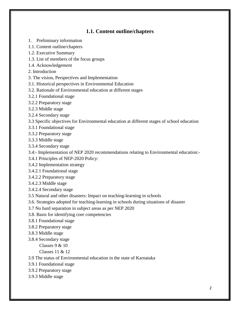# **1.1. Content outline/chapters**

- 1. Preliminary information
- 1.1. Content outline/chapters
- 1.2. Executive Summary
- 1.3. List of members of the focus groups
- 1.4. Acknowledgement
- 2. Introduction
- 3. The vision, Perspectives and Implementation
- 3.1. Historical perspectives in Environmental Education
- 3.2. Rationale of Environmental education at different stages
- 3.2.1 Foundational stage
- 3.2.2 Preparatory stage
- 3.2.3 Middle stage
- 3.2.4 Secondary stage
- 3.3 Specific objectives for Environmental education at different stages of school education
- 3.3.1 Foundational stage
- 3.3.2 Preparatory stage
- 3.3.3 Middle stage
- 3.3.4 Secondary stage
- 3.4:- Implementation of NEP 2020 recommendations relating to Environmental education:-
- 3.4.1 Principles of NEP-2020 Policy:
- 3.4.2 Implementation strategy
- 3.4.2.1 Foundational stage
- 3.4.2.2 Preparatory stage
- 3.4.2.3 Middle stage
- 3.4.2.4 Secondary stage
- 3.5 Natural and other disasters: Impact on teaching-learning in schools
- 3.6. Strategies adopted for teaching-learning in schools during situations of disaster
- 3.7 No hard separation in subject areas as per NEP 2020
- 3.8. Basis for identifying core competencies
- 3.8.1 Foundational stage
- 3.8.2 Preparatory stage
- 3.8.3 Middle stage
- 3.8.4 Secondary stage

Classes 9 & 10

- Classes 11 & 12
- 3.9 The status of Environmental education in the state of Karnataka
- 3.9.1 Foundational stage
- 3.9.2 Preparatory stage
- 3.9.3 Middle stage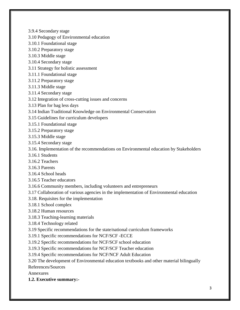- 3.9.4 Secondary stage
- 3.10 Pedagogy of Environmental education
- 3.10.1 Foundational stage
- 3.10.2 Preparatory stage
- 3.10.3 Middle stage
- 3.10.4 Secondary stage
- 3.11 Strategy for holistic assessment
- 3.11.1 Foundational stage
- 3.11.2 Preparatory stage
- 3.11.3 Middle stage
- 3.11.4 Secondary stage
- 3.12 Integration of cross-cutting issues and concerns
- 3.13 Plan for bag less days
- 3.14 Indian Traditional Knowledge on Environmental Conservation
- 3.15 Guidelines for curriculum developers
- 3.15.1 Foundational stage
- 3.15.2 Preparatory stage
- 3.15.3 Middle stage
- 3.15.4 Secondary stage
- 3.16. Implementation of the recommendations on Environmental education by Stakeholders
- 3.16.1 Students
- 3.16.2 Teachers
- 3.16.3 Parents
- 3.16.4 School heads
- 3.16.5 Teacher educators
- 3.16.6 Community members, including volunteers and entrepreneurs
- 3.17 Collaboration of various agencies in the implementation of Environmental education
- 3.18. Requisites for the implementation
- 3.18.1 School complex
- 3.18.2 Human resources
- 3.18.3 Teaching-learning materials
- 3.18.4 Technology related
- 3.19 Specific recommendations for the state/national curriculum frameworks
- 3.19.1 Specific recommendations for NCF/SCF -ECCE
- 3.19.2 Specific recommendations for NCF/SCF school education
- 3.19.3 Specific recommendations for NCF/SCF Teacher education
- 3.19.4 Specific recommendations for NCF/NCF Adult Education
- 3.20 The development of Environmental education textbooks and other material bilingually

References/Sources

Annexures

**1.2. Executive summary:-**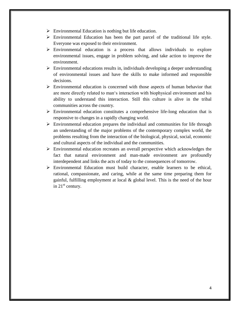- $\triangleright$  Environmental Education is nothing but life education.
- $\triangleright$  Environmental Education has been the part parcel of the traditional life style. Everyone was exposed to their environment.
- $\triangleright$  Environmental education is a process that allows individuals to explore environmental issues, engage in problem solving, and take action to improve the environment.
- $\triangleright$  Environmental educations results in, individuals developing a deeper understanding of environmental issues and have the skills to make informed and responsible decisions.
- $\triangleright$  Environmental education is concerned with those aspects of human behavior that are more directly related to man's interaction with biophysical environment and his ability to understand this interaction. Still this culture is alive in the tribal communities across the country.
- $\triangleright$  Environmental education constitutes a comprehensive life-long education that is responsive to changes in a rapidly changing world.
- $\triangleright$  Environmental education prepares the individual and communities for life through an understanding of the major problems of the contemporary complex world, the problems resulting from the interaction of the biological, physical, social, economic and cultural aspects of the individual and the communities.
- $\triangleright$  Environmental education recreates an overall perspective which acknowledges the fact that natural environment and man-made environment are profoundly interdependent and links the acts of today to the consequences of tomorrow.
- Environmental Education must build character, enable learners to be ethical, rational, compassionate, and caring, while at the same time preparing them for gainful, fulfilling employment at local  $\&$  global level. This is the need of the hour in  $21<sup>st</sup>$  century.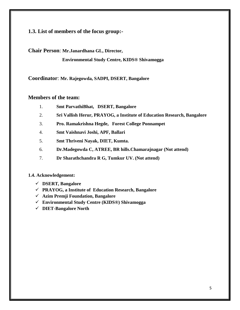# **1.3. List of members of the focus group:-**

**Chair Person**: **Mr.Janardhana GL, Director,** 

 **Environmental Study Centre, KIDS® Shivamogga**

**Coordinator**: **Mr. Rajegowda, SADPI, DSERT, Bangalore**

# **Members of the team:**

- 1. **Smt ParvathiBhat, DSERT, Bangalore**
- 2. **Sri Vallish Herur, PRAYOG, a Institute of Education Research, Bangalore**
- 3. **Pro. Ramakrishna Hegde, Forest College Ponnampet**
- 4. **Smt Vaishnavi Joshi, APF, Ballari**
- 5. **Smt Thriveni Nayak, DIET, Kumta.**
- 6. **Dr.Madegowda C, ATREE, BR hills.Chamarajnagar (Not attend)**
- 7. **Dr Sharathchandra R G, Tumkur UV. (Not attend)**

#### **1.4. Acknowledgement:**

- **DSERT, Bangalore**
- **PRAYOG, a Institute of Education Research, Bangalore**
- **Azim Premji Foundation, Bangalore**
- **Environmental Study Centre (KIDS®) Shivamogga**
- **DIET-Bangalore North**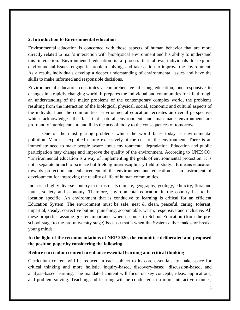#### **2. Introduction to Environmental education**

Environmental education is concerned with those aspects of human behavior that are more directly related to man's interaction with biophysical environment and his ability to understand this interaction. Environmental education is a process that allows individuals to explore environmental issues, engage in problem solving, and take action to improve the environment. As a result, individuals develop a deeper understanding of environmental issues and have the skills to make informed and responsible decisions.

Environmental education constitutes a comprehensive life-long education, one responsive to changes in a rapidly changing world. It prepares the individual and communities for life through an understanding of the major problems of the contemporary complex world, the problems resulting from the interaction of the biological, physical, social, economic and cultural aspects of the individual and the communities. Environmental education recreates an overall perspective which acknowledges the fact that natural environment and man-made environment are profoundly interdependent; and links the acts of today to the consequences of tomorrow.

 One of the most glaring problems which the world faces today is environmental pollution. Man has exploited nature excessively at the cost of the environment. There is an immediate need to make people aware about environmental degradation. Education and public participation may change and improve the quality of the environment. According to UNESCO, "Environmental education is a way of implementing the goals of environmental protection. It is not a separate branch of science but lifelong interdisciplinary field of study." It means education towards protection and enhancement of the environment and education as an instrument of development for improving the quality of life of human communities.

India is a highly diverse country in terms of its climate, geography, geology, ethnicity, flora and fauna, society and economy. Therefore, environmental education in the country has to be location specific. An environment that is conducive to learning is critical for an efficient Education System. The environment must be safe, neat & clean, peaceful, caring, tolerant, impartial, steady, corrective but not punishing, accountable, warm, responsive and inclusive. All these properties assume greater importance when it comes to School Education (from the preschool stage to the pre-university stage) because that's when the System either makes or breaks young minds.

# **In the light of the recommendations of NEP 2020, the committee deliberated and proposed the position paper by considering the following.**

#### **Reduce curriculum content to enhance essential learning and critical thinking**

Curriculum content will be reduced in each subject to its core essentials, to make space for critical thinking and more holistic, inquiry-based, discovery-based, discussion-based, and analysis-based learning. The mandated content will focus on key concepts, ideas, applications, and problem-solving. Teaching and learning will be conducted in a more interactive manner;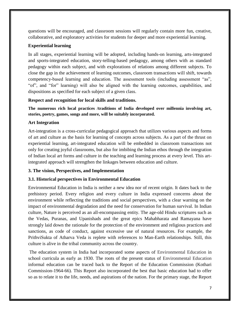questions will be encouraged, and classroom sessions will regularly contain more fun, creative, collaborative, and exploratory activities for students for deeper and more experiential learning.

# **Experiential learning**

In all stages, experiential learning will be adopted, including hands-on learning, arts-integrated and sports-integrated education, story-telling-based pedagogy, among others with as standard pedagogy within each subject, and with explorations of relations among different subjects. To close the gap in the achievement of learning outcomes, classroom transactions will shift, towards competency-based learning and education. The assessment tools (including assessment "as", "of", and "for" learning) will also be aligned with the learning outcomes, capabilities, and dispositions as specified for each subject of a given class.

# **Respect and recognition for local skills and traditions.**

**The numerous rich local practices /traditions of India developed over millennia involving art, stories, poetry, games, songs and more, will be suitably incorporated.**

# **Art Integration**

Art-integration is a cross-curricular pedagogical approach that utilizes various aspects and forms of art and culture as the basis for learning of concepts across subjects. As a part of the thrust on experiential learning, art-integrated education will be embedded in classroom transactions not only for creating joyful classrooms, but also for imbibing the Indian ethos through the integration of Indian local art forms and culture in the teaching and learning process at every level. This artintegrated approach will strengthen the linkages between education and culture.

# **3. The vision, Perspectives, and Implementation**

#### **3.1. Historical perspectives in Environmental Education**

Environmental Education in India is neither a new idea nor of recent origin. It dates back to the prehistory period. Every religion and every culture in India expressed concerns about the environment while reflecting the traditions and social perspectives, with a clear warning on the impact of environmental degradation and the need for conservation for human survival. In Indian culture, Nature is perceived as an all-encompassing entity. The age-old Hindu scriptures such as the Vedas, Puranas, and Upanishads and the great epics Mahabharata and Ramayana have strongly laid down the rationale for the protection of the environment and religious practices and sanctions, as code of conduct, against excessive use of natural resources. For example, the PrithviSukta of Atharva Veda is replete with references to Man-Earth relationships. Still, this culture is alive in the tribal community across the country.

The education system in India had incorporated some aspects of Environmental Education in school curricula as early as 1930. The roots of the present status of Environmental Education informal education can be traced back to the Report of the Education Commission (Kothari Commission-1964-66). This Report also incorporated the best that basic education had to offer so as to relate it to the life, needs, and aspirations of the nation. For the primary stage, the Report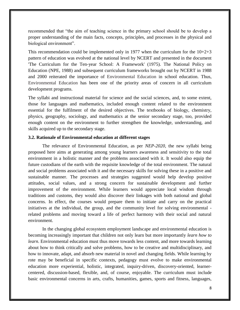recommended that "the aim of teaching science in the primary school should be to develop a proper understanding of the main facts, concepts, principles, and processes in the physical and biological environment".

This recommendation could be implemented only in 1977 when the curriculum for the  $10+2+3$ pattern of education was evolved at the national level by NCERT and presented in the document 'The Curriculum for the Ten-year School: A Framework' (1975). The National Policy on Education (NPE, 1988) and subsequent curriculum frameworks brought out by NCERT in 1988 and 2000 reiterated the importance of Environmental Education in school education. Thus, Environmental Education has been one of the priority areas of concern in all curriculum development programs.

The syllabi and instructional material for science and the social sciences, and, to some extent, those for languages and mathematics, included enough content related to the environment essential for the fulfilment of the desired objectives. The textbooks of biology, chemistry, physics, geography, sociology, and mathematics at the senior secondary stage, too, provided enough content on the environment to further strengthen the knowledge, understanding, and skills acquired up to the secondary stage.

#### **3.2. Rationale of Environmental education at different stages**

The relevance of Environmental Education, as per *NEP-2020,* the new syllabi being proposed here aims at generating among young learners awareness and sensitivity to the total environment in a holistic manner and the problems associated with it. It would also equip the future custodians of the earth with the requisite knowledge of the total environment. The natural and social problems associated with it and the necessary skills for solving these in a positive and sustainable manner. The processes and strategies suggested would help develop positive attitudes, social values, and a strong concern for sustainable development and further improvement of the environment. While learners would appreciate local wisdom through traditions and customs, they would also discover their linkages with both national and global concerns. In effect, the courses would prepare them to initiate and carry on the practical initiatives at the individual, the group, and the community level for solving environmental related problems and moving toward a life of perfect harmony with their social and natural environment.

In the changing global ecosystem employment landscape and environmental education is becoming increasingly important that children not only learn but more importantly *learn how to learn*. Environmental education must thus move towards less content, and more towards learning about how to think critically and solve problems, how to be creative and multidisciplinary, and how to innovate, adapt, and absorb new material in novel and changing fields. While learning by rote may be beneficial in specific contexts, pedagogy must evolve to make environmental education more experiential, holistic, integrated, inquiry-driven, discovery-oriented, learnercentered, discussion-based, flexible, and, of course, enjoyable. The curriculum must include basic environmental concerns in arts, crafts, humanities, games, sports and fitness, languages,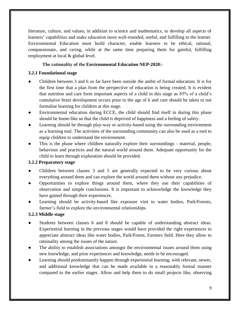literature, culture, and values, in addition to science and mathematics, to develop all aspects of learners' capabilities and make education more well-rounded, useful, and fulfilling to the learner. Environmental Education must build character, enable learners to be ethical, rational, compassionate, and caring, while at the same time preparing them for gainful, fulfilling employment at local & global level.

# **The rationality of the Environmental Education NEP-2020:-**

# **3.2.1 Foundational stage**

- Children between 3 and 6 so far have been outside the ambit of formal education. It is for the first time that a plan from the perspective of education is being created. It is evident that nutrition and care form important aspects of a child in this stage as 85% of a child's cumulative brain development occurs prior to the age of 6 and care should be taken to not formalise learning for children at this stage.
- Environmental education during ECCE, the child should find itself in during this phase should be home-like so that the child is deprived of happiness and a feeling of safety.
- Learning should be through play-way or activity-based using the surrounding environment as a learning tool. The activities of the surrounding community can also be used as a tool to equip children to understand the environment.
- This is the phase where children naturally explore their surroundings material, people, behaviour and practices and the natural world around them. Adequate opportunity for the child to learn through exploration should be provided.

# **3.2.2 Preparatory stage**

- Children between classes 3 and 5 are generally expected to be very curious about everything around them and can explore the world around them without any prejudice.
- Opportunities to explore things around them, where they use their capabilities of observation and simple conclusions. It is important to acknowledge the knowledge they have gained through their experiences.
- Learning should be activity-based like exposure visit to water bodies, Park/Forests, farmer's field to explore the environmental relationships.

# **3.2.3 Middle stage**

- Students between classes 6 and 8 should be capable of understanding abstract ideas. Experiential learning in the previous stages would have provided the right experiences to appreciate abstract ideas like water bodies, Park/Forest, Farmers field. Here they allow to rationality among the issues of the nature.
- The ability to establish associations amongst the environmental issues around them using new knowledge, and prior experiences and knowledge, needs to be encouraged.
- Learning should predominantly happen through experiential learning, with relevant, newer, and additional knowledge that can be made available in a reasonably formal manner compared to the earlier stages. Allow and help them to do small projects like, observing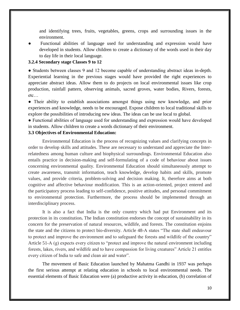and identifying trees, fruits, vegetables, greens, crops and surrounding issues in the environment.

Functional abilities of language used for understanding and expression would have developed in students. Allow children to create a dictionary of the words used in their day to day life in their local language.

#### **3.2.4 Secondary stage Classes 9 to 12**

● Students between classes 9 and 12 become capable of understanding abstract ideas in-depth. Experiential learning in the previous stages would have provided the right experiences to appreciate abstract ideas. Allow them to do projects on local environmental issues like crop production, rainfall pattern, observing animals, sacred groves, water bodies, Rivers, forests, etc…

• Their ability to establish associations amongst things using new knowledge, and prior experiences and knowledge, needs to be encouraged. Expose children to local traditional skills to explore the possibilities of introducing new ideas. The ideas can be use local to global.

● Functional abilities of language used for understanding and expression would have developed in students. Allow children to create a words dictionary of their environment.

#### **3.3 Objectives of Environmental Education:**

Environmental Education is the process of recognizing values and clarifying concepts in order to develop skills and attitudes. These are necessary to understand and appreciate the Interrelatedness among human culture and biophysical surroundings. Environmental Education also entails practice in decision-making and self-formulating of a code of behaviour about issues concerning environmental quality. Environmental Education should simultaneously attempt to create awareness, transmit information, teach knowledge, develop habits and skills, promote values, and provide criteria, problem-solving and decision making. It, therefore aims at both cognitive and affective behaviour modification. This is an action-oriented, project entered and the participatory process leading to self-confidence, positive attitudes, and personal commitment to environmental protection. Furthermore, the process should be implemented through an interdisciplinary process.

It is also a fact that India is the only country which had put Environment and its protection in its constitution**.** The Indian constitution endorses the concept of sustainability in its concern for the preservation of natural resources, wildlife, and forests. The constitution enjoins the state and the citizens to protect bio-diversity. Article 48-A states "The state shall endeavour to protect and improve the environment and to safeguard the forests and wildlife of the country" Article 51-A (g) expects every citizen to "protect and improve the natural environment including forests, lakes, rivers, and wildlife and to have compassion for living creatures" Article 21 entitles every citizen of India to safe and clean air and water".

The movement of Basic Education launched by Mahatma Gandhi in 1937 was perhaps the first serious attempt at relating education in schools to local environmental needs. The essential elements of Basic Education were (a) productive activity in education, (b) correlation of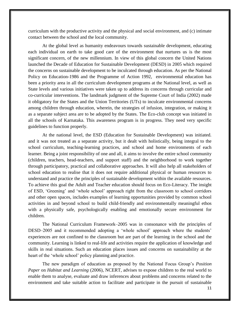curriculum with the productive activity and the physical and social environment, and (c) intimate contact between the school and the local community.

At the global level as humanity endeavours towards sustainable development, educating each individual on earth to take good care of the environment that nurtures us is the most significant concern, of the new millennium. In view of this global concern the United Nations launched the Decade of Education for Sustainable Development (DESD) in 2005 which required the concerns on sustainable development to be inculcated through education. As per the National Policy on Education-1986 and the Programme of Action 1992, environmental education has been a priority area in all the curriculum development programs at the National level, as well as State levels and various initiatives were taken up to address its concerns through curricular and co-curricular interventions. The landmark judgment of the Supreme Court of India (2002) made it obligatory for the States and the Union Territories (UTs) to inculcate environmental concerns among children through education, wherein, the strategies of infusion, integration, or making it as a separate subject area are to be adopted by the States. The Eco-club concept was initiated in all the schools of Karnataka. This awareness program is in progress. They need very specific guidelines to function properly.

At the national level, the ESD (Education for Sustainable Development) was initiated. and it was not treated as a separate activity, but it dealt with holistically, being integral to the school curriculum, teaching-learning practices, and school and home environments of each learner. Being a joint responsibility of one and all, it aims to involve the entire school community (children, teachers, head-teachers, and support staff) and the neighborhood to work together through participatory, practical and collaborative approaches. It will also help all stakeholders of school education to realise that it does not require additional physical or human resources to understand and practice the principles of sustainable development within the available resources. To achieve this goal the Adult and Teacher education should focus on Eco-Literacy. The insight of ESD, 'Greening' and 'whole school' approach right from the classroom to school corridors and other open spaces, includes examples of learning opportunities provided by common school activities in and beyond school to build child-friendly and environmentally meaningful ethos with a physically safe, psychologically enabling and emotionally secure environment for children.

The National Curriculum Framework–2005 was in consonance with the principles of DESD–2005 and it recommended adopting a 'whole school' approach where the students' experiences are not confined to the classroom but are part of the learning in the school and the community. Learning is linked to real-life and activities require the application of knowledge and skills in real situations. Such an education places issues and concerns on sustainability at the heart of the 'whole school' policy planning and practice.

The new paradigm of education as proposed by the National Focus Group's *Position Paper* on *Habitat and Learning* (2006), NCERT, advises to expose children to the real world to enable them to analyse, evaluate and draw inferences about problems and concerns related to the environment and take suitable action to facilitate and participate in the pursuit of sustainable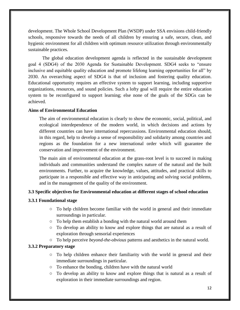development. The Whole School Development Plan (WSDP) under SSA envisions child-friendly schools, responsive towards the needs of all children by ensuring a safe, secure, clean, and hygienic environment for all children with optimum resource utilization through environmentally sustainable practices.

The global education development agenda is reflected in the sustainable development goal 4 (SDG4) of the 2030 Agenda for Sustainable Development. SDG4 seeks to "ensure inclusive and equitable quality education and promote lifelong learning opportunities for all" by 2030. An overarching aspect of SDG4 is that of inclusion and fostering quality education. Educational opportunity requires an effective system to support learning, including supportive organizations, resources, and sound policies. Such a lofty goal will require the entire education system to be reconfigured to support learning; else none of the goals of the SDGs can be achieved.

# **Aims of Environmental Education**

The aim of environmental education is clearly to show the economic, social, political, and ecological interdependence of the modern world, in which decisions and actions by different countries can have international repercussions. Environmental education should, in this regard, help to develop a sense of responsibility and solidarity among countries and regions as the foundation for a new international order which will guarantee the conservation and improvement of the environment.

The main aim of environmental education at the grass-root level is to succeed in making individuals and communities understand the complex nature of the natural and the built environments. Further, to acquire the knowledge, values, attitudes, and practical skills to participate in a responsible and effective way in anticipating and solving social problems, and in the management of the quality of the environment.

#### **3.3 Specific objectives for Environmental education at different stages of school education**

#### **3.3.1 Foundational stage**

- To help children become familiar with the world in general and their immediate surroundings in particular.
- To help them establish a bonding with the natural world around them
- To develop an ability to know and explore things that are natural as a result of exploration through sensorial experiences
- To help perceive *beyond-the-obvious* patterns and aesthetics in the natural world.

# **3.3.2 Preparatory stage**

- To help children enhance their familiarity with the world in general and their immediate surroundings in particular.
- To enhance the bonding, children have with the natural world
- To develop an ability to know and explore things that is natural as a result of exploration in their immediate surroundings and region.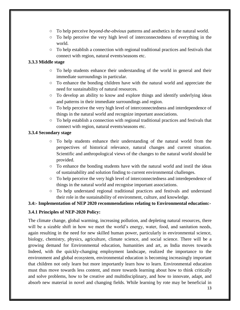- To help perceive *beyond-the-obvious* patterns and aesthetics in the natural world.
- To help perceive the very high level of interconnectedness of everything in the world.
- To help establish a connection with regional traditional practices and festivals that connect with region, natural events/seasons etc.

# **3.3.3 Middle stage**

- To help students enhance their understanding of the world in general and their immediate surroundings in particular.
- To enhance the bonding children have with the natural world and appreciate the need for sustainability of natural resources.
- $\circ$  To develop an ability to know and explore things and identify underlying ideas and patterns in their immediate surroundings and region.
- To help perceive the very high level of interconnectedness and interdependence of things in the natural world and recognize important associations.
- To help establish a connection with regional traditional practices and festivals that connect with region, natural events/seasons etc.

# **3.3.4 Secondary stage**

- $\circ$  To help students enhance their understanding of the natural world from the perspectives of historical relevance, natural changes and current situation. Scientific and anthropological views of the changes to the natural world should be provided.
- To enhance the bonding students have with the natural world and instil the ideas of sustainability and solution finding to current environmental challenges.
- To help perceive the very high level of interconnectedness and interdependence of things in the natural world and recognise important associations.
- To help understand regional traditional practices and festivals and understand their role in the sustainability of environment, culture, and knowledge.

# **3.4:- Implementation of NEP 2020 recommendations relating to Environmental education:-**

# **3.4.1 Principles of NEP-2020 Policy:**

The climate change, global warming, increasing pollution, and depleting natural resources, there will be a sizable shift in how we meet the world's energy, water, food, and sanitation needs, again resulting in the need for new skilled human power, particularly in environmental science, biology, chemistry, physics, agriculture, climate science, and social science. There will be a growing demand for Environmental education, humanities and art, as India moves towards Indeed, with the quickly-changing employment landscape, realized the importance to the environment and global ecosystem, environmental education is becoming increasingly important that children not only learn but more importantly learn how to learn. Environmental education must thus move towards less content, and more towards learning about how to think critically and solve problems, how to be creative and multidisciplinary, and how to innovate, adapt, and absorb new material in novel and changing fields. While learning by rote may be beneficial in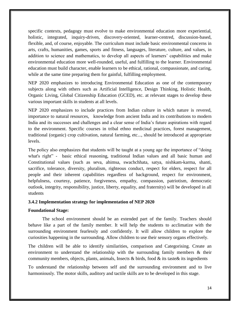specific contexts, pedagogy must evolve to make environmental education more experiential, holistic, integrated, inquiry-driven, discovery-oriented, learner-centred, discussion-based, flexible, and, of course, enjoyable. The curriculum must include basic environmental concerns in arts, crafts, humanities, games, sports and fitness, languages, literature, culture, and values, in addition to science and mathematics, to develop all aspects of learners' capabilities and make environmental education more well-rounded, useful, and fulfilling to the learner. Environmental education must build character, enable learners to be ethical, rational, compassionate, and caring, while at the same time preparing them for gainful, fulfilling employment.

NEP 2020 emphasizes to introducing Environmental Education as one of the contemporary subjects along with others such as Artificial Intelligence, Design Thinking, Holistic Health, Organic Living, Global Citizenship Education (GCED), etc. at relevant stages to develop these various important skills in students at all levels.

NEP 2020 emphasizes to include practices from Indian culture in which nature is revered, importance to natural resources, knowledge from ancient India and its contributions to modern India and its successes and challenges and a clear sense of India's future aspirations with regard to the environment. Specific courses in tribal ethno medicinal practices, forest management, traditional (organic) crop cultivation, natural farming, etc..., should be introduced at appropriate levels.

The policy also emphasizes that students will be taught at a young age the importance of "doing what's right" - basic ethical reasoning, traditional Indian values and all basic human and Constitutional values (such as seva, ahimsa, swachchhata, satya, nishkam-karma, shanti, sacrifice, tolerance, diversity, pluralism, righteous conduct, respect for elders, respect for all people and their inherent capabilities regardless of background, respect for environment, helpfulness, courtesy, patience, forgiveness, empathy, compassion, patriotism, democratic outlook, integrity, responsibility, justice, liberty, equality, and fraternity) will be developed in all students

#### **3.4.2 Implementation strategy for implementation of NEP 2020**

#### **Foundational Stage:**

The school environment should be an extended part of the family. Teachers should behave like a part of the family member. It will help the students to acclimatize with the surrounding environment fearlessly and confidently. It will allow children to explore the curiosities happening in the surrounding. Allow children to use their sensory organs effectively.

The children will be able to identify similarities, comparison and Categorising. Create an environment to understand the relationship with the surrounding family members & their community members, objects, plants, animals, Insects & birds, food  $\&$  its taste  $\&$  its ingredients

To understand the relationship between self and the surrounding environment and to live harmoniously. The motor skills, auditory and tactile skills are to be developed in this stage.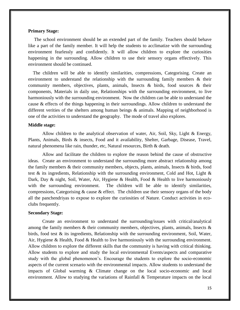#### **Primary Stage:**

 The school environment should be an extended part of the family. Teachers should behave like a part of the family member. It will help the students to acclimatize with the surrounding environment fearlessly and confidently. It will allow children to explore the curiosities happening in the surrounding. Allow children to use their sensory organs effectively. This environment should be continued.

 The children will be able to identify similarities, compressions, Categorising. Create an environment to understand the relationship with the surrounding family members  $\&$  their community members, objectives, plants, animals, Insects & birds, food sources & their components, Materials in daily use, Relationships with the surrounding environment, to live harmoniously with the surrounding environment. Now the children can be able to understand the cause & effects of the things happening in their surroundings. Allow children to understand the different verities of the shelters among human beings & animals. Mapping of neighborhood is one of the activities to understand the geography. The mode of travel also explores.

#### **Middle stage:**

Allow children to the analytical observation of water, Air, Soil, Sky, Light & Energy, Plants, Animals, Birds & insects, Food and it availability, Shelter, Garbage, Disease, Travel, natural phenomena like rain, thunder, etc, Natural resources, Birth & death.

Allow and facilitate the children to explore the reason behind the cause of obstructive ideas. Create an environment to understand the surrounding more abstract relationship among the family members & their community members, objects, plants, animals, Insects & birds, food test & its ingredients, Relationship with the surrounding environment, Cold and Hot, Light  $\&$ Dark, Day & night, Soil, Water, Air, Hygiene & Health, Food & Health to live harmoniously with the surrounding environment. The children will be able to identify similarities, compressions, Categorising  $\&$  cause  $\&$  effect. The children use their sensory organs of the body all the panchendriyas to expose to explore the curiosities of Nature. Conduct activities in ecoclubs frequently.

#### **Secondary Stage:**

Create an environment to understand the surrounding/issues with critical/analytical among the family members  $\&$  their community members, objectives, plants, animals, Insects  $\&$ birds, food test  $\&$  its ingredients, Relationship with the surrounding environment, Soil, Water, Air, Hygiene & Health, Food & Health to live harmoniously with the surrounding environment. Allow children to explore the different skills that the community is having with critical thinking. Allow students to explore and study the local environmental Events/aspects and comparative study with the global phenomenon's. Encourage the students to explore the socio-economic aspects of the current scenario with the environmental impacts. Allow students to understand the impacts of Global warming & Climate change on the local socio-economic and local environment. Allow to studying the variations of Rainfall & Temperature impacts on the local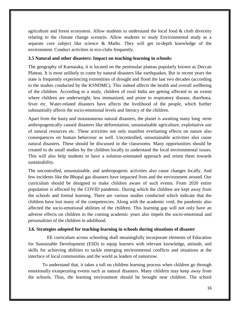agriculture and forest ecosystem. Allow students to understand the local food  $\&$  cloth diversity relating to the climate change scenario. Allow students to study Environmental study as a separate core subject like science & Maths. They will get in-depth knowledge of the environment. Conduct activities in eco-clubs frequently.

# **3.5 Natural and other disasters: Impact on teaching-learning in schools:**

The geography of Karnataka, it is located on the peninsular plateau popularly known as Deccan Plateau. It is most unlikely to come by natural disasters like earthquakes. But in recent years the state is frequently experiencing extremities of drought and flood the last two decades (according to the studies conducted by the KSNDMC). This indeed affects the health and overall wellbeing of the children. According to a study, children of rural India are getting affected to an extent where children are underweight, less immunized, and prone to respiratory disease, diarrhoea, fever etc. Water-related disasters have affects the livelihood of the people, which further substantially affects the socio-emotional levels and literacy of the children.

Apart from the hasty and instantaneous natural disasters, the planet is awaiting many long -term anthropogenically caused disasters like deforestation, unsustainable agriculture, exploitative use of natural resources etc. These activities not only manifest everlasting effects on nature also consequences on human behaviour as well. Uncontrolled, unsustainable activities also cause natural disasters. These should be discussed in the classrooms. Many opportunities should be created to do small studies by the children locally to understand the local environmental issues. This will also help students to have a solution-orientated approach and orient them towards sustainability.

The uncontrolled, unsustainable, and anthropogenic activities also cause changes locally. And few incidents like the Bhopal gas disasters have impacted lives and the environment around. Our curriculum should be designed to make children aware of such events. From 2020 entire population is affected by the COVID pandemic. During which the children are kept away from the schools and formal learning. There are various studies conducted which indicate that the children have lost many of the competencies. Along with the academic void, the pandemic also affected the socio-emotional abilities of the children. This learning gap will not only have an adverse effects on children in the coming academic years also impels the socio-emotional and personalities of the children in adulthood.

# **3.6. Strategies adopted for teaching-learning in schools during situations of disaster**

 EE curriculum across schooling shall meaningfully incorporate elements of Education for Sustainable Development (ESD) to equip learners with relevant knowledge, attitude, and skills for achieving abilities to tackle emerging environmental conflicts and situations at the interface of local communities and the world as leaders of tomorrow.

To understand that, it takes a toll on children learning process when children go through emotionally exasperating events such as natural disasters. Many children may keep away from the schools. Thus, the learning environment should be brought near children. The school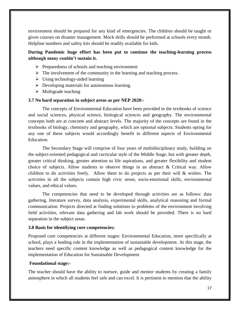environment should be prepared for any kind of emergencies. The children should be taught or given courses on disaster management. Mock drills should be performed at schools every month. Helpline numbers and safety kits should be readily available for kids.

# **During Pandemic huge effort has been put to continue the teaching-learning process although many couldn't sustain it.**

- $\triangleright$  Preparedness of schools and teaching environment
- $\triangleright$  The involvement of the community in the learning and teaching process.
- $\triangleright$  Using technology-aided learning
- $\triangleright$  Developing materials for autonomous learning.
- $\triangleright$  Multigrade teaching

#### **3.7 No hard separation in subject areas as per NEP 2020:-**

The concepts of Environmental Education have been provided in the textbooks of science and social sciences, physical science, biological sciences and geography. The environmental concepts both are at concrete and abstract levels. The majority of the concepts are found in the textbooks of biology, chemistry and geography, which are optional subjects. Students opting for any one of these subjects would accordingly benefit in different aspects of Environmental Education.

The Secondary Stage will comprise of four years of multidisciplinary study, building on the subject-oriented pedagogical and curricular style of the Middle Stage, but with greater depth, greater critical thinking, greater attention to life aspirations, and greater flexibility and student choice of subjects. Allow students to observe things in an abstract & Critical way. Allow children to do activities freely. Allow them to do projects as per their will & wishes. The activities in all the subjects contain high civic sense, socio-emotional skills, environmental values, and ethical values.

The competencies that need to be developed through activities are as follows: data gathering, literature survey, data analysis, experimental skills, analytical reasoning and formal communication. Projects directed at finding solutions to problems of the environment involving field activities, relevant data gathering and lab work should be provided. There is no hard separation in the subject areas.

#### **3.8 Basis for identifying core competencies:**

Proposed core competencies at different stages: Environmental Education, more specifically at school, plays a leading role in the implementation of sustainable development. At this stage, the teachers need specific content knowledge as well as pedagogical content knowledge for the implementation of Education for Sustainable Development.

#### **Foundational stage:-**

The teacher should have the ability to nurture, guide and mentor students by creating a family atmosphere in which all students feel safe and can excel. It is pertinent to mention that the ability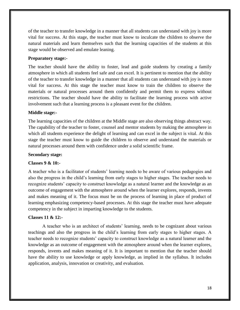of the teacher to transfer knowledge in a manner that all students can understand with joy is more vital for success. At this stage, the teacher must know to inculcate the children to observe the natural materials and learn themselves such that the learning capacities of the students at this stage would be observed and emulate leaning.

#### **Preparatory stage:-**

The teacher should have the ability to foster, lead and guide students by creating a family atmosphere in which all students feel safe and can excel. It is pertinent to mention that the ability of the teacher to transfer knowledge in a manner that all students can understand with joy is more vital for success. At this stage the teacher must know to train the children to observe the materials or natural processes around them confidently and permit them to express without restrictions. The teacher should have the ability to facilitate the learning process with active involvement such that a learning process is a pleasant event for the children.

#### **Middle stage:-**

The learning capacities of the children at the Middle stage are also observing things abstract way. The capability of the teacher to foster, counsel and mentor students by making the atmosphere in which all students experience the delight of learning and can excel in the subject is vital. At this stage the teacher must know to guide the children to observe and understand the materials or natural processes around them with confidence under a solid scientific frame.

#### **Secondary stage:**

#### **Classes 9 & 10:-**

A teacher who is a facilitator of students' learning needs to be aware of various pedagogies and also the progress in the child's learning from early stages to higher stages. The teacher needs to recognize students' capacity to construct knowledge as a natural learner and the knowledge as an outcome of engagement with the atmosphere around when the learner explores, responds, invents and makes meaning of it. The focus must be on the process of learning in place of product of learning emphasizing competency-based processes. At this stage the teacher must have adequate competency in the subject in imparting knowledge to the students.

#### **Classes 11 & 12:-**

A teacher who is an architect of students' learning, needs to be cognizant about various teachings and also the progress in the child's learning from early stages to higher stages. A teacher needs to recognize students' capacity to construct knowledge as a natural learner and the knowledge as an outcome of engagement with the atmosphere around when the learner explores, responds, invents and makes meaning of it. It is important to mention that the teacher should have the ability to use knowledge or apply knowledge, as implied in the syllabus. It includes application, analysis, innovation or creativity, and evaluation.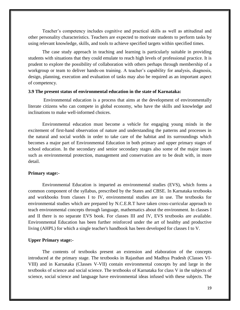Teacher's competency includes cognitive and practical skills as well as attitudinal and other personality characteristics. Teachers are expected to motivate students to perform tasks by using relevant knowledge, skills, and tools to achieve specified targets within specified times.

The case study approach in teaching and learning is particularly suitable in providing students with situations that they could emulate to reach high levels of professional practice. It is prudent to explore the possibility of collaboration with others perhaps through membership of a workgroup or team to deliver hands-on training. A teacher's capability for analysis, diagnosis, design, planning, execution and evaluation of tasks may also be required as an important aspect of competency.

#### **3.9 The present status of environmental education in the state of Karnataka:**

Environmental education is a process that aims at the development of environmentally literate citizens who can compete in global economy, who have the skills and knowledge and inclinations to make well-informed choices.

Environmental education must become a vehicle for engaging young minds in the excitement of first-hand observation of nature and understanding the patterns and processes in the natural and social worlds in order to take care of the habitat and its surroundings which becomes a major part of Environmental Education in both primary and upper primary stages of school education. In the secondary and senior secondary stages also some of the major issues such as environmental protection, management and conservation are to be dealt with, in more detail.

#### **Primary stage:-**

Environmental Education is imparted as environmental studies (EVS), which forms a common component of the syllabus, prescribed by the States and CBSE. In Karnataka textbooks and workbooks from classes I to IV, environmental studies are in use. The textbooks for environmental studies which are prepared by N.C.E.R.T have taken cross-curricular approach to teach environmental concepts through language, mathematics about the environment. In classes I and II there is no separate EVS book. For classes III and IV, EVS textbooks are available. Environmental Education has been further reinforced under the art of healthy and productive living (AHPL) for which a single teacher's handbook has been developed for classes I to V.

### **Upper Primary stage:-**

The contents of textbooks present an extension and elaboration of the concepts introduced at the primary stage. The textbooks in Rajasthan and Madhya Pradesh (Classes VI-VIII) and in Karnataka (Classes V-VII) contain environmental concepts by and large in the textbooks of science and social science. The textbooks of Karnataka for class V in the subjects of science, social science and language have environmental ideas infused with these subjects. The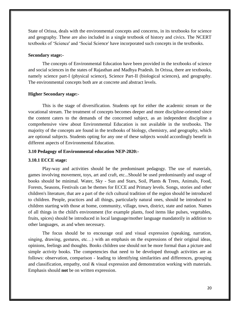State of Orissa, deals with the environmental concepts and concerns, in its textbooks for science and geography. These are also included in a single textbook of history and civics. The NCERT textbooks of 'Science' and 'Social Science' have incorporated such concepts in the textbooks.

#### **Secondary stage:-**

The concepts of Environmental Education have been provided in the textbooks of science and social sciences in the states of Rajasthan and Madhya Pradesh. In Orissa, there are textbooks, namely science part-I (physical science), Science Part-II (biological sciences), and geography. The environmental concepts both are at concrete and abstract levels.

#### **Higher Secondary stage:-**

This is the stage of diversification. Students opt for either the academic stream or the vocational stream. The treatment of concepts becomes deeper and more discipline-oriented since the content caters to the demands of the concerned subject, as an independent discipline a comprehensive view about Environmental Education is not available in the textbooks. The majority of the concepts are found in the textbooks of biology, chemistry, and geography, which are optional subjects. Students opting for any one of these subjects would accordingly benefit in different aspects of Environmental Education.

#### **3.10 Pedagogy of Environmental education NEP-2020:-**

#### **3.10.1 ECCE stage:**

Play-way and activities should be the predominant pedagogy. The use of materials, games involving movement, toys, art and craft, etc...Should be used predominantly and usage of books should be minimal. Water, Sky - Sun and Stars, Soil, Plants & Trees, Animals, Food, Forests, Seasons, Festivals can be themes for ECCE and Primary levels. Songs, stories and other children's literature, that are a part of the rich cultural tradition of the region should be introduced to children. People, practices and all things, particularly natural ones, should be introduced to children starting with those at home, community, village, town, district, state and nation. Names of all things in the child's environment (for example plants, food items like pulses, vegetables, fruits, spices) should be introduced in local language/mother language mandatorily in addition to other languages, as and when necessary.

The focus should be to encourage oral and visual expression (speaking, narration, singing, drawing, gestures, etc…) with an emphasis on the expressions of their original ideas, opinions, feelings and thoughts. Books children use should not be more formal than a picture and simple *activity* books. The competencies that need to be developed through activities are as follows: observation, comparison - leading to identifying similarities and differences, grouping and classification, empathy, oral & visual expression and demonstration working with materials. Emphasis should **not** be on written expression.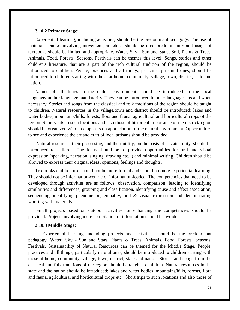#### **3.10.2 Primary Stage:**

Experiential learning, including activities, should be the predominant pedagogy. The use of materials, games involving movement, art etc… should be used predominantly and usage of textbooks should be limited and appropriate. Water, Sky - Sun and Stars, Soil, Plants & Trees, Animals, Food, Forests, Seasons, Festivals can be themes this level. Songs, stories and other children's literature, that are a part of the rich cultural tradition of the region, should be introduced to children. People, practices and all things, particularly natural ones, should be introduced to children starting with those at home, community, village, town, district, state and nation.

Names of all things in the child's environment should be introduced in the local language/mother language mandatorily. They can be introduced in other languages, as and when necessary. Stories and songs from the classical and folk traditions of the region should be taught to children. Natural resources in the village/town and district should be introduced: lakes and water bodies, mountains/hills, forests, flora and fauna, agricultural and horticultural crops of the region. Short visits to such locations and also those of historical importance of the district/region should be organized with an emphasis on appreciation of the natural environment. Opportunities to see and experience the art and craft of local artisans should be provided.

Natural resources, their processing, and their utility, on the basis of sustainability, should be introduced to children. The focus should be to provide opportunities for oral and visual expression (speaking, narration, singing, drawing etc...) and minimal writing. Children should be allowed to express their original ideas, opinions, feelings and thoughts.

Textbooks children use should not be more formal and should promote experiential learning. They should not be information-centric or information-loaded. The competencies that need to be developed through activities are as follows: observation, comparison, leading to identifying similarities and differences, grouping and classification, identifying cause and effect association, sequencing, identifying phenomenon, empathy, oral & visual expression and demonstrating working with materials.

Small projects based on outdoor activities for enhancing the competencies should be provided. Projects involving mere compilation of information should be avoided.

#### **3.10.3 Middle Stage:**

Experiential learning, including projects and activities, should be the predominant pedagogy. Water, Sky - Sun and Stars, Plants & Trees, Animals, Food, Forests, Seasons, Festivals, Sustainability of Natural Resources can be themed for the Middle Stage. People, practices and all things, particularly natural ones, should be introduced to children starting with those at home, community, village, town, district, state and nation. Stories and songs from the classical and folk traditions of the region should be taught to children. Natural resources in the state and the nation should be introduced: lakes and water bodies, mountains/hills, forests, flora and fauna, agricultural and horticultural crops etc. Short trips to such locations and also those of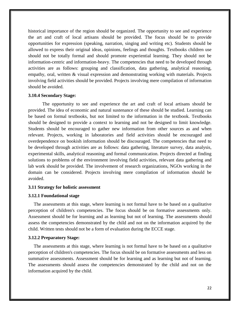historical importance of the region should be organized. The opportunity to see and experience the art and craft of local artisans should be provided. The focus should be to provide opportunities for expression (speaking, narration, singing and writing etc). Students should be allowed to express their original ideas, opinions, feelings and thoughts. Textbooks children use should not be totally formal and should promote experiential learning. They should not be information-centric and information-heavy. The competencies that need to be developed through activities are as follows: grouping and classification, data gathering, analytical reasoning, empathy, oral, written & visual expression and demonstrating working with materials. Projects involving field activities should be provided. Projects involving mere compilation of information should be avoided.

#### **3.10.4 Secondary Stage:**

The opportunity to see and experience the art and craft of local artisans should be provided. The idea of economic and natural sustenance of these should be studied. Learning can be based on formal textbooks, but not limited to the information in the textbook. Textbooks should be designed to provide a context to learning and not be designed to limit knowledge. Students should be encouraged to gather new information from other sources as and when relevant. Projects, working in laboratories and field activities should be encouraged and overdependence on bookish information should be discouraged. The competencies that need to be developed through activities are as follows: data gathering, literature survey, data analysis, experimental skills, analytical reasoning and formal communication. Projects directed at finding solutions to problems of the environment involving field activities, relevant data gathering and lab work should be provided. The involvement of research organizations, NGOs working in the domain can be considered. Projects involving mere compilation of information should be avoided.

#### **3.11 Strategy for holistic assessment**

#### **3.12.1 Foundational stage**

The assessments at this stage, where learning is not formal have to be based on a qualitative perception of children's competencies. The focus should be on formative assessments only. Assessment should be for learning and as learning but not of learning. The assessments should assess the competencies demonstrated by the child and not on the information acquired by the child. Written tests should not be a form of evaluation during the ECCE stage.

#### **3.12.2 Preparatory Stage:**

The assessments at this stage, where learning is not formal have to be based on a qualitative perception of children's competencies. The focus should be on formative assessments and less on summative assessments. Assessment should be for learning and as learning but not of learning. The assessments should assess the competencies demonstrated by the child and not on the information acquired by the child.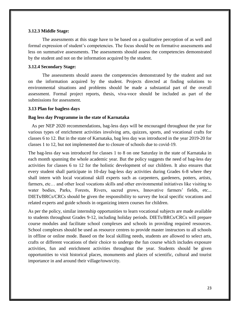#### **3.12.3 Middle Stage:**

The assessments at this stage have to be based on a qualitative perception of as well and formal expression of student's competencies. The focus should be on formative assessments and less on summative assessments. The assessments should assess the competencies demonstrated by the student and not on the information acquired by the student.

#### **3.12.4 Secondary Stage:**

The assessments should assess the competencies demonstrated by the student and not on the information acquired by the student. Projects directed at finding solutions to environmental situations and problems should be made a substantial part of the overall assessment. Formal project reports, thesis, viva-voce should be included as part of the submissions for assessment.

#### **3.13 Plan for bagless days**

#### **Bag less day Programme in the state of Karnataka**

 As per NEP 2020 recommendations, bag-less days will be encouraged throughout the year for various types of enrichment activities involving arts, quizzes, sports, and vocational crafts for classes 6 to 12. But in the state of Karnataka, bag less day was introduced in the year 2019-20 for classes 1 to 12, but not implemented due to closure of schools due to covid-19.

The bag-less day was introduced for classes 1 to 8 on one Saturday in the state of Karnataka in each month spanning the whole academic year. But the policy suggests the need of bag-less day activities for classes 6 to 12 for the holistic development of our children. It also ensures that every student shall participate in 10-day bag-less day activities during Grades 6-8 where they shall intern with local vocational skill experts such as carpenters, gardeners, potters, artists, farmers, etc... and other local vocations skills and other environmental initiatives like visiting to water bodies, Parks, Forests, Rivers, sacred grows, Innovative farmers' fields, etc... DIETs/BRCs/CRCs should be given the responsibility to survey the local specific vocations and related experts and guide schools in organizing intern courses for children.

As per the policy, similar internship opportunities to learn vocational subjects are made available to students throughout Grades 9-12, including holiday periods. DIETs/BRCs/CRCs will prepare course modules and facilitate school complexes and schools in providing required resources. School complexes should be used as resource centres to provide master instructors to all schools in offline or online mode. Based on the local skilling needs, students are allowed to select arts, crafts or different vocations of their choice to undergo the fun course which includes exposure activities, fun and enrichment activities throughout the year. Students should be given opportunities to visit historical places, monuments and places of scientific, cultural and tourist importance in and around their village/town/city.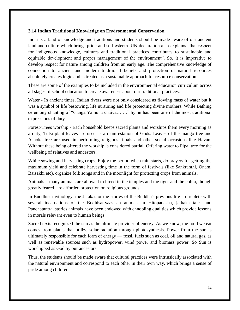#### **3.14 Indian Traditional Knowledge on Environmental Conservation**

India is a land of knowledge and traditions and students should be made aware of our ancient land and culture which brings pride and self-esteem. UN declaration also explains "that respect for indigenous knowledge, cultures and traditional practices contributes to sustainable and equitable development and proper management of the environment". So, it is imperative to develop respect for nature among children from an early age. The comprehensive knowledge of connection to ancient and modern traditional beliefs and protection of natural resources absolutely creates logic and is treated as a sustainable approach for resource conservation.

These are some of the examples to be included in the environmental education curriculum across all stages of school education to create awareness about our traditional practices.

Water - In ancient times, Indian rivers were not only considered as flowing mass of water but it was a symbol of life bestowing, life nurturing and life protecting divine mothers. While Bathing ceremony chanting of "Ganga Yamuna chaiva……." hymn has been one of the most traditional expressions of duty.

Forest-Trees worship - Each household keeps sacred plants and worships them every morning as a duty, Tulsi plant leaves are used as a manifestation of Gods. Leaves of the mango tree and Ashoka tree are used in performing religious rituals and other social occasions like Havan. Without these being offered the worship is considered partial. Offering water to Pipal tree for the wellbeing of relatives and ancestors.

While sowing and harvesting crops, Enjoy the period when rain starts, do prayers for getting the maximum yield and celebrate harvesting time in the form of festivals (like Sankranthi, Onam, Baisakhi etc), organize folk songs and in the moonlight for protecting crops from animals.

Animals – many animals are allowed to breed in the temples and the tiger and the cobra, though greatly feared, are afforded protection on religious grounds.

In Buddhist mythology, the Jatakas or the stories of the Buddha's previous life are replete with several incarnations of the Bodhisattvaas an animal. In Hitopadesha, jathaka tales and Panchatantra stories animals have been endowed with ennobling qualities which provide lessons in morals relevant even to human beings.

Sacred texts recognized the sun as the ultimate provider of energy. As we know, the food we eat comes from plants that utilize solar radiation through photosynthesis. Power from the sun is ultimately responsible for each form of energy — fossil fuels such as coal, oil and natural gas, as well as renewable sources such as hydropower, wind power and biomass power. So Sun is worshipped as God by our ancestors.

Thus, the students should be made aware that cultural practices were intrinsically associated with the natural environment and correspond to each other in their own way, which brings a sense of pride among children.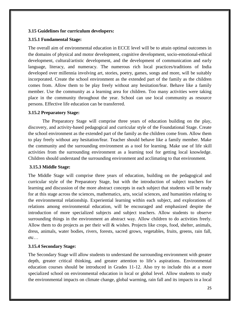# **3.15 Guidelines for curriculum developers:**

# **3.15.1 Fundamental Stage:**

The overall aim of environmental education in ECCE level will be to attain optimal outcomes in the domains of physical and motor development, cognitive development, socio-emotional-ethical development, cultural/artistic development, and the development of communication and early language, literacy, and numeracy. The numerous rich local practices/traditions of India developed over millennia involving art, stories, poetry, games, songs and more, will be suitably incorporated. Create the school environment as the extended part of the family as the children comes from. Allow them to be play freely without any hesitation/fear. Behave like a family member. Use the community as a learning area for children. Too many activities were taking place in the community throughout the year. School can use local community as resource persons. Effective life education can be transferred.

# **3.15.2 Preparatory Stage:**

The Preparatory Stage will comprise three years of education building on the play, discovery, and activity-based pedagogical and curricular style of the Foundational Stage. Create the school environment as the extended part of the family as the children come from. Allow them to play freely without any hesitation/fear. Teacher should behave like a family member. Make the community and the surrounding environment as a tool for learning. Make use of life skill activities from the surrounding environment as a learning tool for getting local knowledge. Children should understand the surrounding environment and acclimating to that environment.

# **3.15.3 Middle Stage:**

The Middle Stage will comprise three years of education, building on the pedagogical and curricular style of the Preparatory Stage, but with the introduction of subject teachers for learning and discussion of the more abstract concepts in each subject that students will be ready for at this stage across the sciences, mathematics, arts, social sciences, and humanities relating to the environmental relationship. Experiential learning within each subject, and explorations of relations among environmental education, will be encouraged and emphasized despite the introduction of more specialized subjects and subject teachers. Allow students to observe surrounding things in the environment an abstract way. Allow children to do activities freely. Allow them to do projects as per their will & wishes. Projects like crops, food, shelter, animals, dress, animals, water bodies, rivers, forests, sacred grows, vegetables, fruits, greens, rain fall, etc…

# **3.15.4 Secondary Stage:**

The Secondary Stage will allow students to understand the surrounding environment with greater depth, greater critical thinking, and greater attention to life's aspirations. Environmental education courses should be introduced in Grades 11-12. Also try to include this at a more specialized school on environmental education in local or global level. Allow students to study the environmental impacts on climate change, global warming, rain fall and its impacts in a local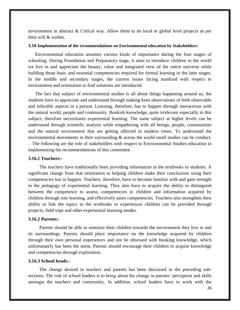environment in abstract & Critical way. Allow them to do local or global level projects as per their will & wishes.

#### **3.16 Implementation of the recommendations on Environmental education by Stakeholders:**

Environmental education assumes various kinds of importance during the four stages of schooling. During Foundation and Preparatory stage, it aims to introduce children to the world we live in and appreciate the beauty, value and integrated view of the entire universe while building those basic and essential competencies required for formal learning in the later stages. In the middle and secondary stages, the current issues facing mankind with respect to environment and orientation to find solutions are introduced.

The fact that subject of environmental studies is all about things happening around us, the students have to appreciate and understand through making keen observations of both observable and inferable aspects in a person. Learning, therefore, has to happen through interactions with the natural world, people and community. Bookish knowledge, quite irrelevant especially in this subject, therefore necessitates experiential learning. The same subject at higher levels can be understood through scientific analysis while empathizing with all beings, people, communities and the natural environment that are getting affected in modern times. To understand the environmental movements in their surrounding & across the world small studies can be conduct. . The following are the role of stakeholders with respect to Environmental Studies education in implementing the recommendations of this committee.

#### **3.16.1 Teachers:-**

The teachers have traditionally been providing information in the textbooks to students. A significant change from that orientation to helping children make their conclusions using their competencies has to happen. Teachers, therefore, have to become familiar with and gain strength in the pedagogy of experiential learning. They also have to acquire the ability to distinguish between the competence to assess, competencies in children and information acquired by children through rote learning, and effectively asses competencies. Teachers also strengthen their ability to link the topics in the textbooks to experiences children can be provided through projects, field trips and other experiential learning modes.

#### **3.16.2 Parents:-**

Parents should be able to sensitize their children towards the environment they live in and its surroundings. Parents should place importance on the knowledge acquired by children through their own personal experiences and not be obsessed with booking knowledge, which unfortunately has been the norm. Parents should encourage their children to acquire knowledge and competencies through exploration.

#### **3.16.3 School heads:-**

The change desired in teachers and parents has been discussed in the preceding subsections. The role of school leaders is to bring about the change in parents' perception and skills amongst the teachers and community. In addition, school leaders have to work with the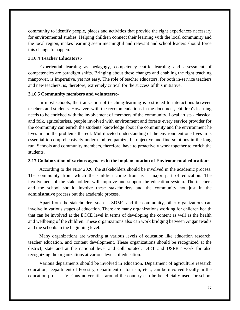community to identify people, places and activities that provide the right experiences necessary for environmental studies. Helping children connect their learning with the local community and the local region, makes learning seem meaningful and relevant and school leaders should force this change to happen.

#### **3.16.4 Teacher Educators:-**

Experiential learning as pedagogy, competency-centric learning and assessment of competencies are paradigm shifts. Bringing about these changes and enabling the right teaching manpower, is imperative, yet not easy. The role of teacher educators, for both in-service teachers and new teachers, is, therefore, extremely critical for the success of this initiative.

#### **3.16.5 Community members and volunteers:-**

In most schools, the transaction of teaching-learning is restricted to interactions between teachers and students. However, with the recommendations in the document, children's learning needs to be enriched with the involvement of members of the community. Local artists - classical and folk, agriculturists, people involved with environment and forests every service provider for the community can enrich the students' knowledge about the community and the environment he lives in and the problems thereof. Multifaceted understanding of the environment one lives in is essential to comprehensively understand, empathize, be objective and find solutions in the long run. Schools and community members, therefore, have to proactively work together to enrich the students.

#### **3.17 Collaboration of various agencies in the implementation of Environmental education:**

According to the NEP 2020, the stakeholders should be involved in the academic process. The community from which the children come from is a major part of education. The involvement of the stakeholders will improve and support the education system. The teachers and the school should involve these stakeholders and the community not just in the administrative process but the academic process.

Apart from the stakeholders such as SDMC and the community, other organizations can involve in various stages of education. There are many organizations working for children health that can be involved at the ECCE level in terms of developing the content as well as the health and wellbeing of the children. These organizations also can work bridging between Anganawadis and the schools in the beginning level.

Many organizations are working at various levels of education like education research, teacher education, and content development. These organizations should be recognized at the district, state and at the national level and collaborated. DIET and DSERT work for also recognizing the organizations at various levels of education.

Various departments should be involved in education. Department of agriculture research education, Department of Forestry, department of tourism, etc.., can be involved locally in the education process. Various universities around the country can be beneficially used for school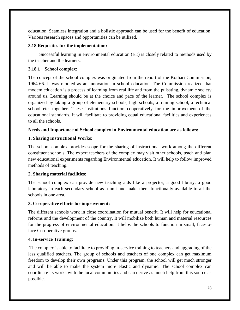education. Seamless integration and a holistic approach can be used for the benefit of education. Various research spaces and opportunities can be utilized.

# **3.18 Requisites for the implementation:**

Successful learning in environmental education (EE) is closely related to methods used by the teacher and the learners.

# **3.18.1 School complex:**

The concept of the school complex was originated from the report of the Kothari Commission, 1964-66. It was mooted as an innovation in school education. The Commission realized that modem education is a process of learning from real life and from the pulsating, dynamic society around us. Learning should be at the choice and pace of the learner. The school complex is organized by taking a group of elementary schools, high schools, a training school, a technical school etc. together. These institutions function cooperatively for the improvement of the educational standards. It will facilitate to providing equal educational facilities and experiences to all the schools.

# **Needs and Importance of School complex in Environmental education are as follows:**

# **1. Sharing Instructional Works:**

The school complex provides scope for the sharing of instructional work among the different constituent schools. The expert teachers of the complex may visit other schools, teach and plan new educational experiments regarding Environmental education. It will help to follow improved methods of teaching.

# **2. Sharing material facilities:**

The school complex can provide new teaching aids like a projector, a good library, a good laboratory in each secondary school as a unit and make them functionally available to all the schools in one area.

# **3. Co-operative efforts for improvement:**

The different schools work in close coordination for mutual benefit. It will help for educational reforms and the development of the country. It will mobilize both human and material resources for the progress of environmental education. It helps the schools to function in small, face-toface Co-operative groups.

# **4. In-service Training:**

The complex is able to facilitate to providing in-service training to teachers and upgrading of the less qualified teachers. The group of schools and teachers of one complex can get maximum freedom to develop their own programs. Under this program, the school will get much stronger and will be able to make the system more elastic and dynamic. The school complex can coordinate its works with the local communities and can derive as much help from this source as possible.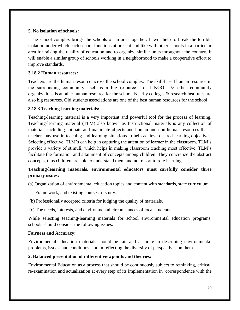#### **5. No isolation of schools:**

 The school complex brings the schools of an area together. It will help to break the terrible isolation under which each school functions at present and like with other schools in a particular area for raising the quality of education and to organize similar units throughout the country. It will enable a similar group of schools working in a neighborhood to make a cooperative effort to improve standards.

# **3.18.2 Human resources:**

Teachers are the human resource across the school complex. The skill-based human resource in the surrounding community itself is a big resource. Local NGO's & other community organizations is another human resource for the school. Nearby colleges & research institutes are also big resources. Old students associations are one of the best human resources for the school.

# **3.18.3 Teaching-learning materials:-**

Teaching-learning material is a very important and powerful tool for the process of learning. Teaching-learning material (TLM) also known as Instructional materials is any collection of materials including animate and inanimate objects and human and non-human resources that a teacher may use in teaching and learning situations to help achieve desired learning objectives. Selecting effective, TLM's can help in capturing the attention of learner in the classroom. TLM's provide a variety of stimuli, which helps in making classroom teaching most effective. TLM's facilitate the formation and attainment of concepts among children. They concretize the abstract concepts, thus children are able to understand them and not resort to rote learning.

# **Teaching-learning materials, environmental educators must carefully consider three primary issues:**

(a) Organization of environmental education topics and content with standards, state curriculum

Frame work, and existing courses of study.

- (b) Professionally accepted criteria for judging the quality of materials.
- (c) The needs, interests, and environmental circumstances of local students.

While selecting teaching-learning materials for school environmental education programs, schools should consider the following issues:

#### **Fairness and Accuracy:**

Environmental education materials should be fair and accurate in describing environmental problems, issues, and conditions, and in reflecting the diversity of perspectives on them.

# **2. Balanced presentation of different viewpoints and theories:**

Environmental Education as a process that should be continuously subject to rethinking, critical, re-examination and actualization at every step of its implementation in correspondence with the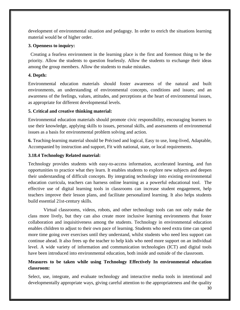development of environmental situation and pedagogy. In order to enrich the situations learning material would be of higher order.

# **3. Openness to inquiry:**

Creating a fearless environment in the learning place is the first and foremost thing to be the priority. Allow the students to question fearlessly. Allow the students to exchange their ideas among the group members. Allow the students to make mistakes.

# **4. Depth:**

Environmental education materials should foster awareness of the natural and built environments, an understanding of environmental concepts, conditions and issues; and an awareness of the feelings, values, attitudes, and perceptions at the heart of environmental issues, as appropriate for different developmental levels.

# **5. Critical and creative thinking material:**

Environmental education materials should promote civic responsibility, encouraging learners to use their knowledge, applying skills to issues, personal skills, and assessments of environmental issues as a basis for environmental problem solving and action.

**6.** Teaching-learning material should be Précised and logical, Easy to use, long-lived, Adaptable, Accompanied by instruction and support, Fit with national, state, or local requirements.

# **3.18.4 Technology Related material:**

Technology provides students with easy-to-access information, accelerated learning, and fun opportunities to practice what they learn. It enables students to explore new subjects and deepen their understanding of difficult concepts. By integrating technology into existing environmental education curricula, teachers can harness online learning as a powerful educational tool. The effective use of digital learning tools in classrooms can increase student engagement, help teachers improve their lesson plans, and facilitate personalized learning. It also helps students build essential 21st-century skills.

 Virtual classrooms, videos, robots, and other technology tools can not only make the class more lively, but they can also create more inclusive learning environments that foster collaboration and inquisitiveness among the students. Technology in environmental education enables children to adjust to their own pace of learning. Students who need extra time can spend more time going over exercises until they understand, whilst students who need less support can continue ahead. It also frees up the teacher to help kids who need more support on an individual level. A wide variety of information and communication technologies (ICT) and digital tools have been introduced into environmental education, both inside and outside of the classroom.

# **Measures to be taken while using Technology Effectively In environmental education classroom:**

Select, use, integrate, and evaluate technology and interactive media tools in intentional and developmentally appropriate ways, giving careful attention to the appropriateness and the quality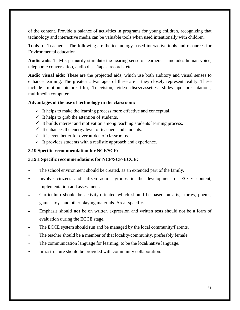of the content. Provide a balance of activities in programs for young children, recognizing that technology and interactive media can be valuable tools when used intentionally with children.

Tools for Teachers - The following are the technology-based interactive tools and resources for Environmental education.

**Audio aids:** TLM's primarily stimulate the hearing sense of learners. It includes human voice, telephonic conversation, audio discs/tapes, records, etc.

**Audio visual aids:** These are the projected aids, which use both auditory and visual senses to enhance learning. The greatest advantages of these are – they closely represent reality. These include- motion picture film, Television, video discs/cassettes, slides-tape presentations, multimedia computer

# **Advantages of the use of technology in the classroom:**

- $\checkmark$  It helps to make the learning process more effective and conceptual.
- $\checkmark$  It helps to grab the attention of students.
- $\checkmark$  It builds interest and motivation among teaching students learning process.
- $\checkmark$  It enhances the energy level of teachers and students.
- $\checkmark$  It is even better for overburden of classrooms.
- $\checkmark$  It provides students with a realistic approach and experience.

# **3.19 Specific recommendation for NCF/SCF:**

# **3.19.1 Specific recommendations for NCF/SCF-ECCE:**

- The school environment should be created, as an extended part of the family.
- Involve citizens and citizen action groups in the development of ECCE content, implementation and assessment.
- Curriculum should be activity-oriented which should be based on arts, stories, poems, games, toys and other playing materials. Area- specific.
- Emphasis should **not** be on written expression and written tests should not be a form of evaluation during the ECCE stage.
- The ECCE system should run and be managed by the local community/Parents.
- The teacher should be a member of that locality/community, preferably female.
- The communication language for learning, to be the local/native language.
- Infrastructure should be provided with community collaboration.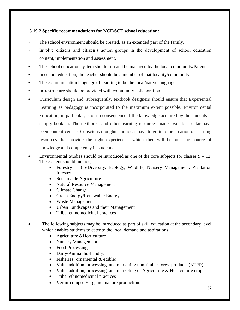# **3.19.2 Specific recommendations for NCF/SCF school education:**

- The school environment should be created, as an extended part of the family.
- Involve citizens and citizen's action groups in the development of school education content, implementation and assessment.
- The school education system should run and be managed by the local community/Parents.
- In school education, the teacher should be a member of that locality/community.
- The communication language of learning to be the local/native language.
- Infrastructure should be provided with community collaboration.
- Curriculum design and, subsequently, textbook designers should ensure that Experiential Learning as pedagogy is incorporated to the maximum extent possible. Environmental Education, in particular, is of no consequence if the knowledge acquired by the students is simply bookish. The textbooks and other learning resources made available so far have been content-centric. Conscious thoughts and ideas have to go into the creation of learning resources that provide the right experiences, which then will become the source of knowledge and competency in students.
- Environmental Studies should be introduced as one of the core subjects for classes  $9 12$ . The content should include,
	- Forestry Bio-Diversity, Ecology, Wildlife, Nursery Management, Plantation forestry
	- Sustainable Agriculture
	- Natural Resource Management
	- Climate Change
	- Green Energy/Renewable Energy
	- Waste Management
	- Urban Landscapes and their Management
	- Tribal ethnomedicinal practices
- The following subjects may be introduced as part of skill education at the secondary level which enables students to cater to the local demand and aspirations
	- Agriculture & Horticulture
	- Nursery Management
	- Food Processing
	- Dairy/Animal husbandry.
	- Fisheries (ornamental  $&$  edible)
	- Value addition, processing, and marketing non-timber forest products (NTFP)
	- Value addition, processing, and marketing of Agriculture & Horticulture crops.
	- Tribal ethnomedicinal practices
	- Vermi-compost/Organic manure production.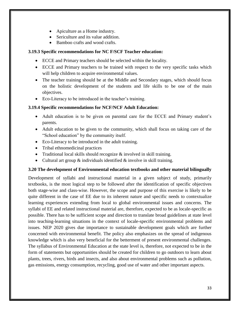- Apiculture as a Home industry.
- Sericulture and its value addition.
- Bamboo crafts and wood crafts.

# **3.19.3 Specific recommendations for NC F/SCF Teacher education:**

- ECCE and Primary teachers should be selected within the locality.
- ECCE and Primary teachers to be trained with respect to the very specific tasks which will help children to acquire environmental values.
- The teacher training should be at the Middle and Secondary stages, which should focus on the holistic development of the students and life skills to be one of the main objectives.
- Eco-Literacy to be introduced in the teacher's training.

# **3.19.4 Specific recommendations for NCF/NCF Adult Education:**

- Adult education is to be given on parental care for the ECCE and Primary student's parents.
- Adult education to be given to the community, which shall focus on taking care of the "School education" by the community itself.
- Eco-Literacy to be introduced in the adult training.
- Tribal ethnomedicinal practices
- Traditional local skills should recognize  $&$  involved in skill training.
- Cultural art group  $\&$  individuals identified  $\&$  involve in skill training.

#### **3.20 The development of Environmental education textbooks and other material bilingually**

Development of syllabi and instructional material in a given subject of study, primarily textbooks, is the most logical step to be followed after the identification of specific objectives both stage-wise and class-wise. However, the scope and purpose of this exercise is likely to be quite different in the case of EE due to its inherent nature and specific needs to contextualize learning experiences extending from local to global environmental issues and concerns. The syllabi of EE and related instructional material are, therefore, expected to be as locale-specific as possible. There has to be sufficient scope and direction to translate broad guidelines at state level into teaching-learning situations in the context of locale-specific environmental problems and issues. NEP 2020 gives due importance to sustainable development goals which are further concerned with environmental benefit. The policy also emphasizes on the spread of indigenous knowledge which is also very beneficial for the betterment of present environmental challenges. The syllabus of Environmental Education at the state level is, therefore, not expected to be in the form of statements but opportunities should be created for children to go outdoors to learn about plants, trees, rivers, birds and insects, and also about environmental problems such as pollution, gas emissions, energy consumption, recycling, good use of water and other important aspects.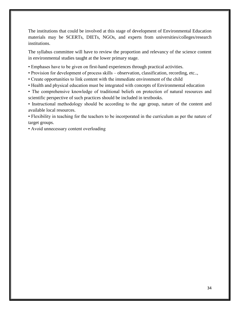The institutions that could be involved at this stage of development of Environmental Education materials may be SCERTs, DIETs, NGOs, and experts from universities/colleges/research institutions.

The syllabus committee will have to review the proportion and relevancy of the science content in environmental studies taught at the lower primary stage.

- Emphases have to be given on first-hand experiences through practical activities.
- Provision for development of process skills observation, classification, recording, etc..,
- Create opportunities to link content with the immediate environment of the child
- Health and physical education must be integrated with concepts of Environmental education
- The comprehensive knowledge of traditional beliefs on protection of natural resources and scientific perspective of such practices should be included in textbooks.

• Instructional methodology should be according to the age group, nature of the content and available local resources.

• Flexibility in teaching for the teachers to be incorporated in the curriculum as per the nature of target groups.

• Avoid unnecessary content overloading